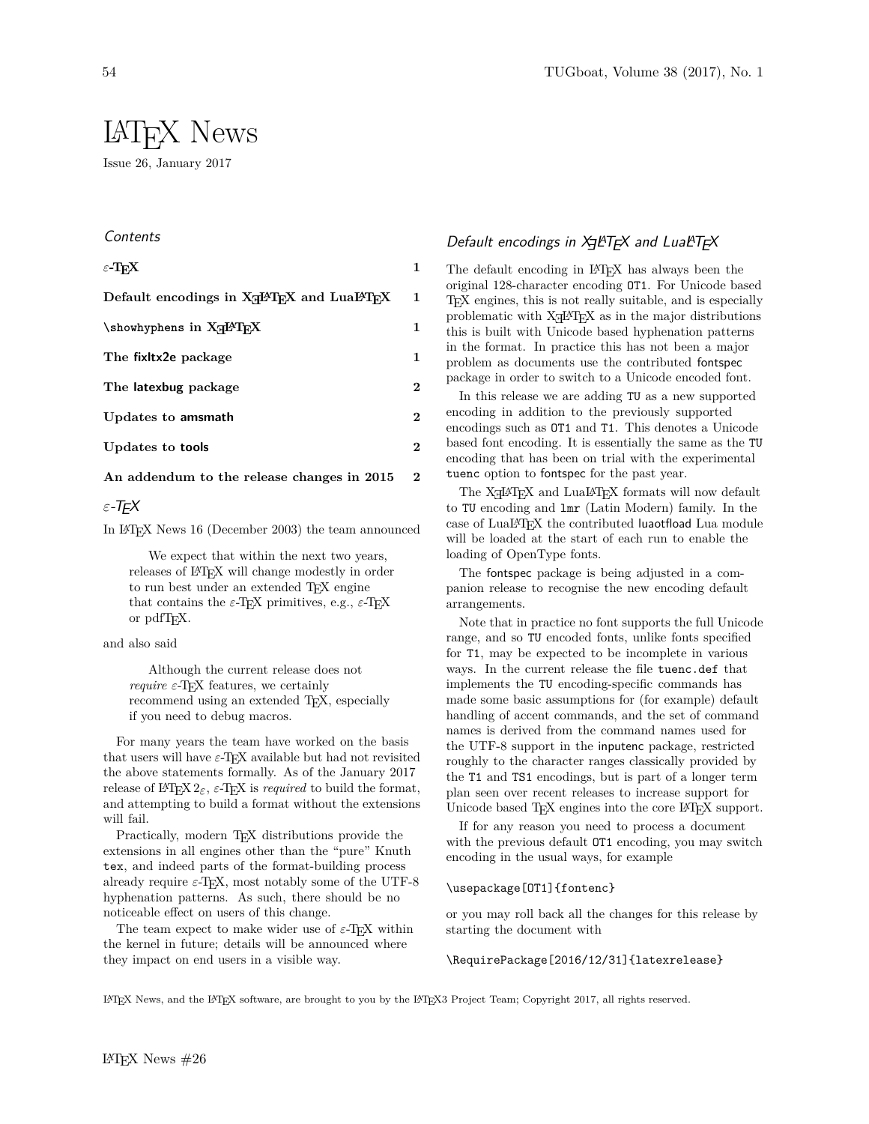# LATEX News

Issue 26, January 2017

# **Contents**

| $\varepsilon$ -TrX                                                             | 1        |
|--------------------------------------------------------------------------------|----------|
| Default encodings in X <sub>T</sub> PT <sub>F</sub> X and LuaPT <sub>F</sub> X | 1        |
| \showhyphens in X <sub>T</sub> PT <sub>F</sub> X                               | 1        |
| The fixitx2e package                                                           | 1        |
| The latexbug package                                                           | $\bf{2}$ |
| Updates to amsmath                                                             | $\bf{2}$ |
| Updates to <b>tools</b>                                                        | $\bf{2}$ |
| An addendum to the release changes in 2015                                     | $\bf{2}$ |

# *ε*-TEX

In LATEX News 16 (December 2003) the team announced

We expect that within the next two years, releases of LAT<sub>EX</sub> will change modestly in order to run best under an extended T<sub>EX</sub> engine that contains the  $\varepsilon$ -T<sub>E</sub>X primitives, e.g.,  $\varepsilon$ -T<sub>E</sub>X or pdfTEX.

and also said

Although the current release does not *require*  $\varepsilon$ -T<sub>E</sub>X features, we certainly recommend using an extended T<sub>E</sub>X, especially if you need to debug macros.

For many years the team have worked on the basis that users will have *ε*-TEX available but had not revisited the above statements formally. As of the January 2017 release of L<sup>AT</sup>EX 2<sub>*ε*</sub>, *ε*-TEX is *required* to build the format, and attempting to build a format without the extensions will fail.

Practically, modern T<sub>EX</sub> distributions provide the extensions in all engines other than the "pure" Knuth tex, and indeed parts of the format-building process already require *ε*-TEX, most notably some of the UTF-8 hyphenation patterns. As such, there should be no noticeable effect on users of this change.

The team expect to make wider use of  $\varepsilon$ -T<sub>E</sub>X within the kernel in future; details will be announced where they impact on end users in a visible way.

# Default encodings in  $X$ gle $T$ g $X$  and Luale $T$ g $X$

The default encoding in LAT<sub>EX</sub> has always been the original 128-character encoding OT1. For Unicode based TEX engines, this is not really suitable, and is especially problematic with  $X\overline{A}Y\Gamma_{E}X$  as in the major distributions this is built with Unicode based hyphenation patterns in the format. In practice this has not been a major problem as documents use the contributed fontspec package in order to switch to a Unicode encoded font.

In this release we are adding TU as a new supported encoding in addition to the previously supported encodings such as OT1 and T1. This denotes a Unicode based font encoding. It is essentially the same as the TU encoding that has been on trial with the experimental tuenc option to fontspec for the past year.

The  $X \rightarrow Y$  and  $LuaIATEX$  formats will now default to TU encoding and lmr (Latin Modern) family. In the case of LuaLATEX the contributed luaotfload Lua module will be loaded at the start of each run to enable the loading of OpenType fonts.

The fontspec package is being adjusted in a companion release to recognise the new encoding default arrangements.

Note that in practice no font supports the full Unicode range, and so TU encoded fonts, unlike fonts specified for T1, may be expected to be incomplete in various ways. In the current release the file tuenc.def that implements the TU encoding-specific commands has made some basic assumptions for (for example) default handling of accent commands, and the set of command names is derived from the command names used for the UTF-8 support in the inputenc package, restricted roughly to the character ranges classically provided by the T1 and TS1 encodings, but is part of a longer term plan seen over recent releases to increase support for Unicode based T<sub>E</sub>X engines into the core L<sup>AT</sup>E<sub>X</sub> support.

If for any reason you need to process a document with the previous default OT1 encoding, you may switch encoding in the usual ways, for example

## \usepackage[OT1]{fontenc}

or you may roll back all the changes for this release by starting the document with

#### \RequirePackage[2016/12/31]{latexrelease}

LATEX News, and the LATEX software, are brought to you by the LATEX3 Project Team; Copyright 2017, all rights reserved.